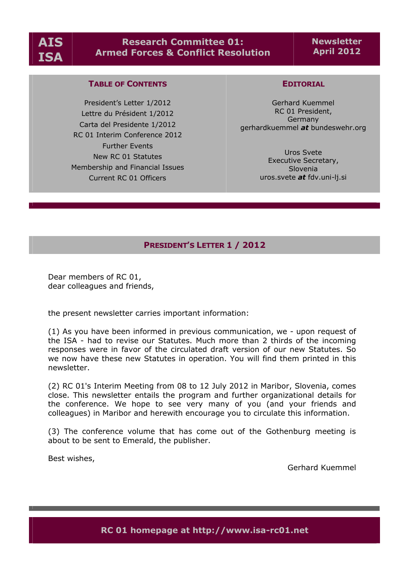# **Research Committee 01: Armed Forces & Conflict Resolution**

**Newsletter April 2012**

# **TABLE OF CONTENTS**

President's Letter 1/2012 Lettre du Président 1/2012 Carta del Presidente 1/2012 RC 01 Interim Conference 2012 Further Events New RC 01 Statutes Membership and Financial Issues Current RC 01 Officers

#### **EDITORIAL**

Gerhard Kuemmel RC 01 President, Germany gerhardkuemmel *at* bundeswehr.org

> Uros Svete Executive Secretary, Slovenia uros.svete *at* fdv.uni-lj.si

# **PRESIDENT'S LETTER 1 / 2012**

Dear members of RC 01, dear colleagues and friends,

the present newsletter carries important information:

(1) As you have been informed in previous communication, we - upon request of the ISA - had to revise our Statutes. Much more than 2 thirds of the incoming responses were in favor of the circulated draft version of our new Statutes. So we now have these new Statutes in operation. You will find them printed in this newsletter.

(2) RC 01's Interim Meeting from 08 to 12 July 2012 in Maribor, Slovenia, comes close. This newsletter entails the program and further organizational details for the conference. We hope to see very many of you (and your friends and colleagues) in Maribor and herewith encourage you to circulate this information.

(3) The conference volume that has come out of the Gothenburg meeting is about to be sent to Emerald, the publisher.

Best wishes,

Gerhard Kuemmel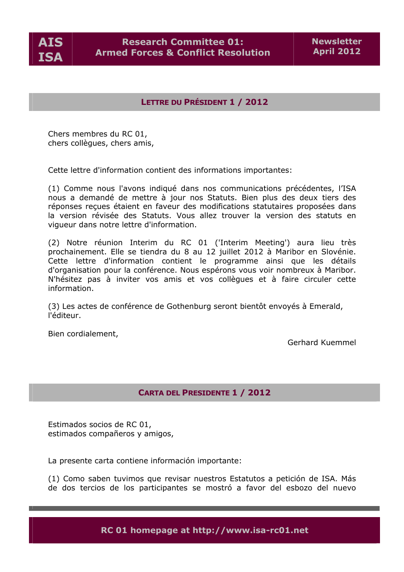

# **LETTRE DU PRÉSIDENT 1 / 2012**

Chers membres du RC 01, chers collègues, chers amis,

Cette lettre d'information contient des informations importantes:

(1) Comme nous l'avons indiqué dans nos communications précédentes, l'ISA nous a demandé de mettre à jour nos Statuts. Bien plus des deux tiers des réponses reçues étaient en faveur des modifications statutaires proposées dans la version révisée des Statuts. Vous allez trouver la version des statuts en vigueur dans notre lettre d'information.

(2) Notre réunion Interim du RC 01 ('Interim Meeting') aura lieu très prochainement. Elle se tiendra du 8 au 12 juillet 2012 à Maribor en Slovénie. Cette lettre d'information contient le programme ainsi que les détails d'organisation pour la conférence. Nous espérons vous voir nombreux à Maribor. N'hésitez pas à inviter vos amis et vos collègues et à faire circuler cette information.

(3) Les actes de conférence de Gothenburg seront bientôt envoyés à Emerald, l'Åditeur.

Bien cordialement,

Gerhard Kuemmel

# **CARTA DEL PRESIDENTE 1 / 2012**

Estimados socios de RC 01, estimados compañeros y amigos,

La presente carta contiene informacián importante:

(1) Como saben tuvimos que revisar nuestros Estatutos a peticián de ISA. Màs de dos tercios de los participantes se mostrá a favor del esbozo del nuevo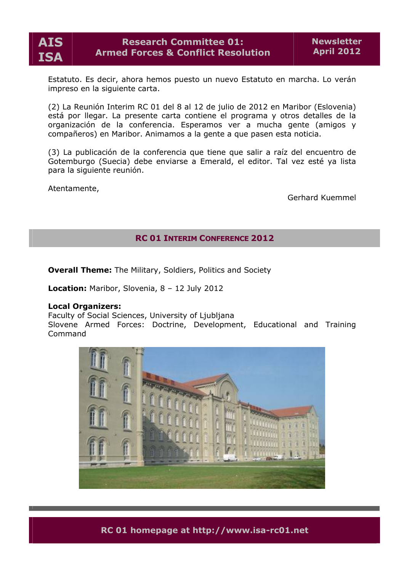

Estatuto. Es decir, ahora hemos puesto un nuevo Estatuto en marcha. Lo veràn impreso en la siguiente carta.

(2) La Reunián Interim RC 01 del 8 al 12 de julio de 2012 en Maribor (Eslovenia) està por llegar. La presente carta contiene el programa y otros detalles de la organizacián de la conferencia. Esperamos ver a mucha gente (amigos y compañeros) en Maribor. Animamos a la gente a que pasen esta noticia.

(3) La publicacián de la conferencia que tiene que salir a raâz del encuentro de Gotemburgo (Suecia) debe enviarse a Emerald, el editor. Tal vez esté ya lista para la siguiente reunián.

Atentamente,

Gerhard Kuemmel

# **RC 01 INTERIM CONFERENCE 2012**

**Overall Theme:** The Military, Soldiers, Politics and Society

**Location:** Maribor, Slovenia, 8 – 12 July 2012

### **Local Organizers:**

Faculty of Social Sciences, University of Ljubljana Slovene Armed Forces: Doctrine, Development, Educational and Training Command

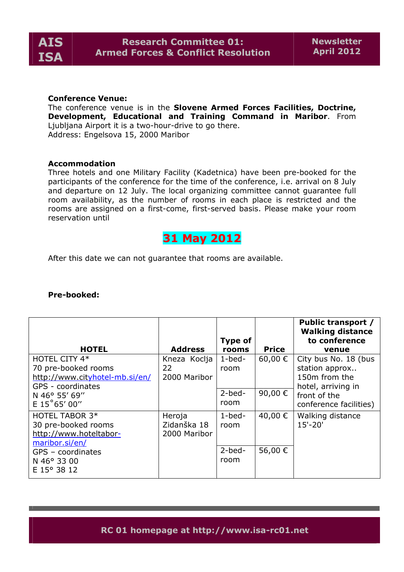

#### **Conference Venue:**

The conference venue is in the **Slovene Armed Forces Facilities, Doctrine, Development, Educational and Training Command in Maribor**. From Ljubljana Airport it is a two-hour-drive to go there. Address: Engelsova 15, 2000 Maribor

#### **Accommodation**

Three hotels and one Military Facility (Kadetnica) have been pre-booked for the participants of the conference for the time of the conference, i.e. arrival on 8 July and departure on 12 July. The local organizing committee cannot guarantee full room availability, as the number of rooms in each place is restricted and the rooms are assigned on a first-come, first-served basis. Please make your room reservation until

# **31 May 2012**

After this date we can not guarantee that rooms are available.

| <b>HOTEL</b>                                                                                | <b>Address</b>                        | Type of<br>rooms    | <b>Price</b> | <b>Public transport /</b><br><b>Walking distance</b><br>to conference<br>venue |
|---------------------------------------------------------------------------------------------|---------------------------------------|---------------------|--------------|--------------------------------------------------------------------------------|
| HOTEL CITY 4*<br>70 pre-booked rooms<br>http://www.cityhotel-mb.si/en/<br>GPS - coordinates | Kneza Koclja<br>22<br>2000 Maribor    | $1$ -bed-<br>room   | 60,00 €      | City bus No. 18 (bus<br>station approx<br>150m from the<br>hotel, arriving in  |
| N 46° 55' 69"<br>$E$ 15°65' 00"                                                             |                                       | $2 - bed -$<br>room | 90,00 €      | front of the<br>conference facilities)                                         |
| <b>HOTEL TABOR 3*</b><br>30 pre-booked rooms<br>http://www.hoteltabor-<br>maribor.si/en/    | Heroja<br>Zidanška 18<br>2000 Maribor | $1$ -bed-<br>room   | 40,00 €      | Walking distance<br>$15' - 20'$                                                |
| $GPS - coordinates$<br>N 46° 33 00<br>E 15° 38 12                                           |                                       | $2 - bed -$<br>room | 56,00 €      |                                                                                |

## **Pre-booked:**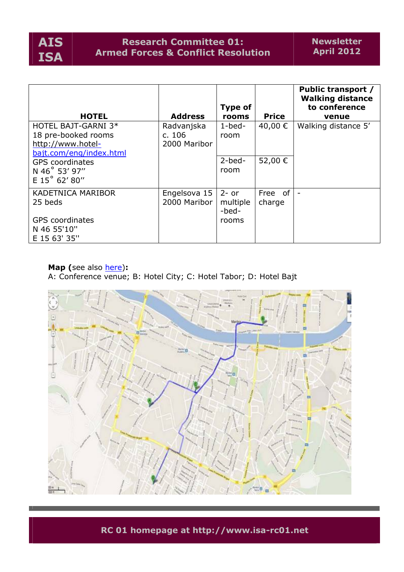

# **Research Committee 01: Armed Forces & Conflict Resolution**

|                                                                                            |                                      | Type of                      |                   | <b>Public transport /</b><br><b>Walking distance</b><br>to conference |
|--------------------------------------------------------------------------------------------|--------------------------------------|------------------------------|-------------------|-----------------------------------------------------------------------|
| <b>HOTEL</b>                                                                               | <b>Address</b>                       | rooms                        | <b>Price</b>      | venue                                                                 |
| HOTEL BAJT-GARNI 3*<br>18 pre-booked rooms<br>http://www.hotel-<br>bajt.com/eng/index.html | Radvanjska<br>c. 106<br>2000 Maribor | $1$ -bed-<br>room            | 40,00 €           | Walking distance 5'                                                   |
| <b>GPS</b> coordinates<br>N 46° 53' 97"<br>E 15° 62' 80"                                   |                                      | $2 - bed -$<br>room          | 52,00 €           |                                                                       |
| <b>KADETNICA MARIBOR</b><br>25 beds                                                        | Engelsova 15<br>2000 Maribor         | $2-$ or<br>multiple<br>-bed- | Free of<br>charge |                                                                       |
| <b>GPS</b> coordinates<br>N 46 55'10"<br>E 15 63' 35"                                      |                                      | rooms                        |                   |                                                                       |

# **Map (**see also here)**:**

A: Conference venue; B: Hotel City; C: Hotel Tabor; D: Hotel Bajt

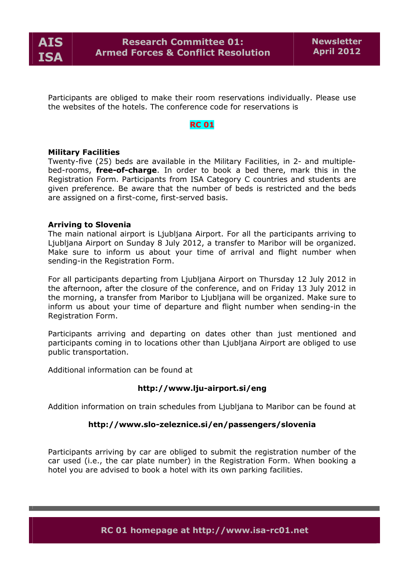

Participants are obliged to make their room reservations individually. Please use the websites of the hotels. The conference code for reservations is

# **RC 01**

### **Military Facilities**

Twenty-five (25) beds are available in the Military Facilities, in 2- and multiplebed-rooms, **free-of-charge**. In order to book a bed there, mark this in the Registration Form. Participants from ISA Category C countries and students are given preference. Be aware that the number of beds is restricted and the beds are assigned on a first-come, first-served basis.

#### **Arriving to Slovenia**

The main national airport is Ljubljana Airport. For all the participants arriving to Ljubljana Airport on Sunday 8 July 2012, a transfer to Maribor will be organized. Make sure to inform us about your time of arrival and flight number when sending-in the Registration Form.

For all participants departing from Ljubljana Airport on Thursday 12 July 2012 in the afternoon, after the closure of the conference, and on Friday 13 July 2012 in the morning, a transfer from Maribor to Ljubljana will be organized. Make sure to inform us about your time of departure and flight number when sending-in the Registration Form.

Participants arriving and departing on dates other than just mentioned and participants coming in to locations other than Ljubljana Airport are obliged to use public transportation.

Additional information can be found at

#### **[http://www.lju-](http://www.lju)airport.si/eng**

Addition information on train schedules from Ljubljana to Maribor can be found at

#### **[http://www.slo-](http://www.slo)zeleznice.si/en/passengers/slovenia**

Participants arriving by car are obliged to submit the registration number of the car used (i.e., the car plate number) in the Registration Form. When booking a hotel you are advised to book a hotel with its own parking facilities.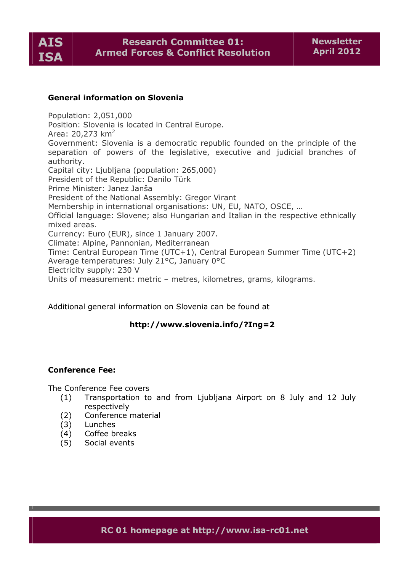

## **General information on Slovenia**

Population: 2,051,000 Position: Slovenia is located in Central Europe. Area:  $20,273$  km<sup>2</sup> Government: Slovenia is a democratic republic founded on the principle of the separation of powers of the legislative, executive and judicial branches of authority. Capital city: Ljubljana (population: 265,000) President of the Republic: Danilo Türk Prime Minister: Janez Janša President of the National Assembly: Gregor Virant Membership in international organisations: UN, EU, NATO, OSCE, … Official language: Slovene; also Hungarian and Italian in the respective ethnically mixed areas. Currency: Euro (EUR), since 1 January 2007. Climate: Alpine, Pannonian, Mediterranean Time: Central European Time (UTC+1), Central European Summer Time (UTC+2) Average temperatures: July 21°C, January 0°C Electricity supply: 230 V Units of measurement: metric – metres, kilometres, grams, kilograms.

Additional general information on Slovenia can be found at

# **<http://www.slovenia.info/?Ing=2>**

# **Conference Fee:**

The Conference Fee covers

- (1) Transportation to and from Ljubljana Airport on 8 July and 12 July respectively
- (2) Conference material
- (3) Lunches
- (4) Coffee breaks
- (5) Social events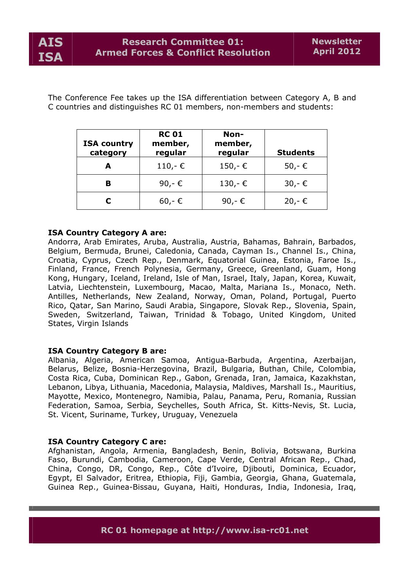The Conference Fee takes up the ISA differentiation between Category A, B and C countries and distinguishes RC 01 members, non-members and students:

| <b>ISA country</b><br>category | <b>RC 01</b><br>member,<br>regular | Non-<br>member,<br>regular | <b>Students</b> |
|--------------------------------|------------------------------------|----------------------------|-----------------|
|                                | 110,- €                            | 150,-€                     | 50,- €          |
| В                              | 90,-€                              | $130,-€$                   | $30,-$ €        |
|                                | $60,-$ €                           | 90,-€                      | $20,-$ €        |

# **ISA Country Category A are:**

Andorra, Arab Emirates, Aruba, Australia, Austria, Bahamas, Bahrain, Barbados, Belgium, Bermuda, Brunei, Caledonia, Canada, Cayman Is., Channel Is., China, Croatia, Cyprus, Czech Rep., Denmark, Equatorial Guinea, Estonia, Faroe Is., Finland, France, French Polynesia, Germany, Greece, Greenland, Guam, Hong Kong, Hungary, Iceland, Ireland, Isle of Man, Israel, Italy, Japan, Korea, Kuwait, Latvia, Liechtenstein, Luxembourg, Macao, Malta, Mariana Is., Monaco, Neth. Antilles, Netherlands, New Zealand, Norway, Oman, Poland, Portugal, Puerto Rico, Qatar, San Marino, Saudi Arabia, Singapore, Slovak Rep., Slovenia, Spain, Sweden, Switzerland, Taiwan, Trinidad & Tobago, United Kingdom, United States, Virgin Islands

# **ISA Country Category B are:**

Albania, Algeria, American Samoa, Antigua-Barbuda, Argentina, Azerbaijan, Belarus, Belize, Bosnia-Herzegovina, Brazil, Bulgaria, Buthan, Chile, Colombia, Costa Rica, Cuba, Dominican Rep., Gabon, Grenada, Iran, Jamaica, Kazakhstan, Lebanon, Libya, Lithuania, Macedonia, Malaysia, Maldives, Marshall Is., Mauritius, Mayotte, Mexico, Montenegro, Namibia, Palau, Panama, Peru, Romania, Russian Federation, Samoa, Serbia, Seychelles, South Africa, St. Kitts-Nevis, St. Lucia, St. Vicent, Suriname, Turkey, Uruguay, Venezuela

### **ISA Country Category C are:**

Afghanistan, Angola, Armenia, Bangladesh, Benin, Bolivia, Botswana, Burkina Faso, Burundi, Cambodia, Cameroon, Cape Verde, Central African Rep., Chad, China, Congo, DR, Congo, Rep., CÖte d'Ivoire, Djibouti, Dominica, Ecuador, Egypt, El Salvador, Eritrea, Ethiopia, Fiji, Gambia, Georgia, Ghana, Guatemala, Guinea Rep., Guinea-Bissau, Guyana, Haiti, Honduras, India, Indonesia, Iraq,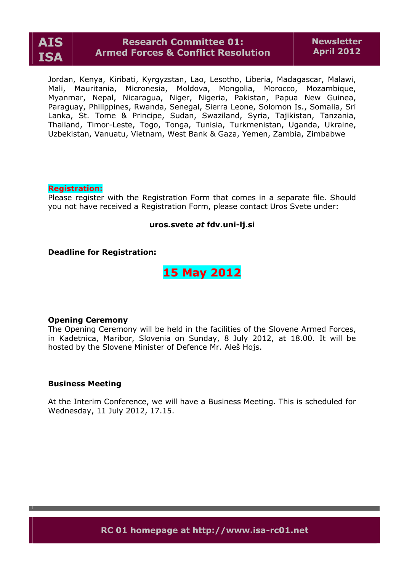

# **Research Committee 01: Armed Forces & Conflict Resolution**

Jordan, Kenya, Kiribati, Kyrgyzstan, Lao, Lesotho, Liberia, Madagascar, Malawi, Mali, Mauritania, Micronesia, Moldova, Mongolia, Morocco, Mozambique, Myanmar, Nepal, Nicaragua, Niger, Nigeria, Pakistan, Papua New Guinea, Paraguay, Philippines, Rwanda, Senegal, Sierra Leone, Solomon Is., Somalia, Sri Lanka, St. Tome & Principe, Sudan, Swaziland, Syria, Tajikistan, Tanzania, Thailand, Timor-Leste, Togo, Tonga, Tunisia, Turkmenistan, Uganda, Ukraine, Uzbekistan, Vanuatu, Vietnam, West Bank & Gaza, Yemen, Zambia, Zimbabwe

### **Registration:**

Please register with the Registration Form that comes in a separate file. Should you not have received a Registration Form, please contact Uros Svete under:

#### **uros.svete** *at* **fdv.uni-lj.si**

#### **Deadline for Registration:**

# **15 May 2012**

#### **Opening Ceremony**

The Opening Ceremony will be held in the facilities of the Slovene Armed Forces, in Kadetnica, Maribor, Slovenia on Sunday, 8 July 2012, at 18.00. It will be hosted by the Slovene Minister of Defence Mr. Aleš Hojs.

#### **Business Meeting**

At the Interim Conference, we will have a Business Meeting. This is scheduled for Wednesday, 11 July 2012, 17.15.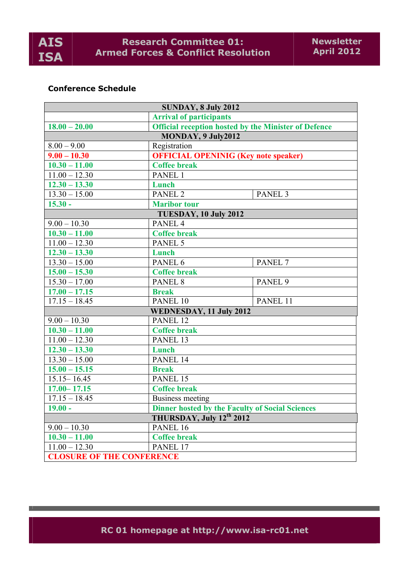

# **Conference Schedule**

| <b>SUNDAY, 8 July 2012</b>                                          |                                                             |                    |  |
|---------------------------------------------------------------------|-------------------------------------------------------------|--------------------|--|
|                                                                     | <b>Arrival of participants</b>                              |                    |  |
| $18.00 - 20.00$                                                     | <b>Official reception hosted by the Minister of Defence</b> |                    |  |
|                                                                     | MONDAY, 9 July2012                                          |                    |  |
| $8.00 - 9.00$                                                       | Registration                                                |                    |  |
| $9.00 - 10.30$                                                      | <b>OFFICIAL OPENINIG (Key note speaker)</b>                 |                    |  |
| $10.30 - 11.00$                                                     | <b>Coffee break</b>                                         |                    |  |
| $11.00 - 12.30$                                                     | PANEL 1                                                     |                    |  |
| $12.30 - 13.30$                                                     | Lunch                                                       |                    |  |
| $13.30 - 15.00$                                                     | PANEL <sub>2</sub>                                          | PANEL <sub>3</sub> |  |
| $15.30 -$                                                           | <b>Maribor</b> tour                                         |                    |  |
| TUESDAY, 10 July 2012                                               |                                                             |                    |  |
| $9.00 - 10.30$                                                      | PANEL <sub>4</sub>                                          |                    |  |
| $\overline{10.30} - 11.00$                                          | <b>Coffee break</b>                                         |                    |  |
| $11.00 - 12.30$                                                     | PANEL 5                                                     |                    |  |
| $12.30 - 13.30$                                                     | Lunch                                                       |                    |  |
| $13.30 - 15.00$                                                     | PANEL 6                                                     | PANEL <sub>7</sub> |  |
| $15.00 - 15.30$                                                     | <b>Coffee break</b>                                         |                    |  |
| $\overline{15.30 - 17.00}$                                          | PANEL <sub>8</sub>                                          | PANEL <sub>9</sub> |  |
| $17.00 - 17.15$                                                     | <b>Break</b>                                                |                    |  |
| $17.15 - 18.45$                                                     | PANEL 10                                                    | PANEL 11           |  |
|                                                                     | <b>WEDNESDAY, 11 July 2012</b>                              |                    |  |
| $9.00 - 10.30$                                                      | PANEL 12                                                    |                    |  |
| $10.30 - 11.00$                                                     | <b>Coffee break</b>                                         |                    |  |
| $11.00 - 12.30$                                                     | PANEL 13                                                    |                    |  |
| $12.30 - 13.30$                                                     | Lunch                                                       |                    |  |
| $13.30 - 15.00$                                                     | PANEL 14                                                    |                    |  |
| $15.00 - 15.15$                                                     | <b>Break</b>                                                |                    |  |
| $15.15 - 16.45$                                                     | PANEL 15                                                    |                    |  |
| $17.00 - 17.15$                                                     | <b>Coffee break</b>                                         |                    |  |
| $17.15 - 18.45$                                                     | <b>Business meeting</b>                                     |                    |  |
| <b>Dinner hosted by the Faculty of Social Sciences</b><br>$19.00 -$ |                                                             |                    |  |
| THURSDAY, July $12^{th}$ 2012                                       |                                                             |                    |  |
| $9.00 - 10.30$                                                      | PANEL 16                                                    |                    |  |
| $10.30 - 11.00$                                                     | <b>Coffee break</b>                                         |                    |  |
| $11.00 - 12.30$                                                     | PANEL 17                                                    |                    |  |
| <b>CLOSURE OF THE CONFERENCE</b>                                    |                                                             |                    |  |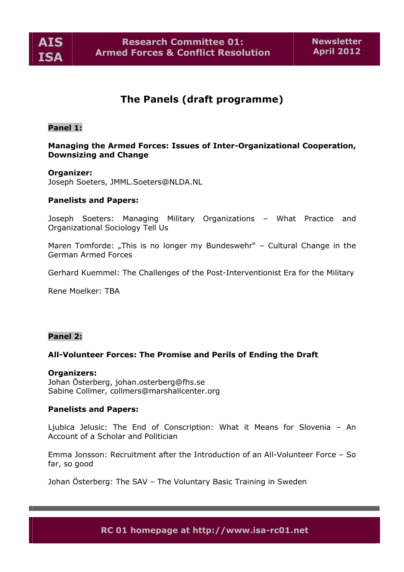

# **The Panels (draft programme)**

#### **Panel 1:**

# **Managing the Armed Forces: Issues of Inter-Organizational Cooperation, Downsizing and Change**

### **Organizer:**

Joseph Soeters, JMML.Soeters@NLDA.NL

#### **Panelists and Papers:**

Joseph Soeters: Managing Military Organizations – What Practice and Organizational Sociology Tell Us

Maren Tomforde: "This is no longer my Bundeswehr" - Cultural Change in the German Armed Forces

Gerhard Kuemmel: The Challenges of the Post-Interventionist Era for the Military

Rene Moelker: TBA

### **Panel 2:**

#### **All-Volunteer Forces: The Promise and Perils of Ending the Draft**

#### **Organizers:**

Johan Österberg, johan.osterberg@fhs.se Sabine Collmer, collmers@marshallcenter.org

#### **Panelists and Papers:**

Ljubica Jelusic: The End of Conscription: What it Means for Slovenia – An Account of a Scholar and Politician

Emma Jonsson: Recruitment after the Introduction of an All-Volunteer Force – So far, so good

Johan Österberg: The SAV – The Voluntary Basic Training in Sweden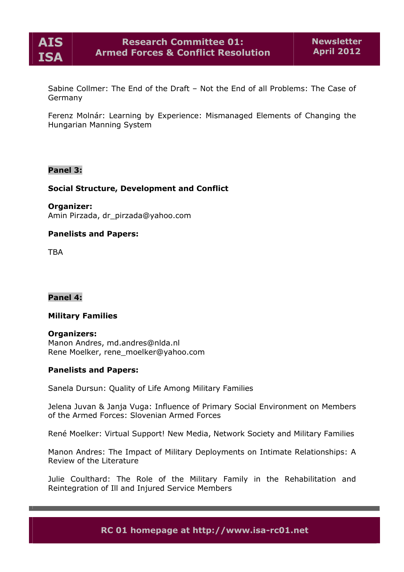

Sabine Collmer: The End of the Draft – Not the End of all Problems: The Case of Germany

Ferenz Molnàr: Learning by Experience: Mismanaged Elements of Changing the Hungarian Manning System

# **Panel 3:**

### **Social Structure, Development and Conflict**

**Organizer:**

Amin Pirzada, dr\_pirzada@yahoo.com

# **Panelists and Papers:**

**TRA** 

**Panel 4:**

### **Military Families**

**Organizers:** Manon Andres, md.andres@nlda.nl Rene Moelker, rene\_moelker@yahoo.com

### **Panelists and Papers:**

Sanela Dursun: Quality of Life Among Military Families

Jelena Juvan & Janja Vuga: Influence of Primary Social Environment on Members of the Armed Forces: Slovenian Armed Forces

RenÅ Moelker: Virtual Support! New Media, Network Society and Military Families

Manon Andres: The Impact of Military Deployments on Intimate Relationships: A Review of the Literature

Julie Coulthard: The Role of the Military Family in the Rehabilitation and Reintegration of Ill and Injured Service Members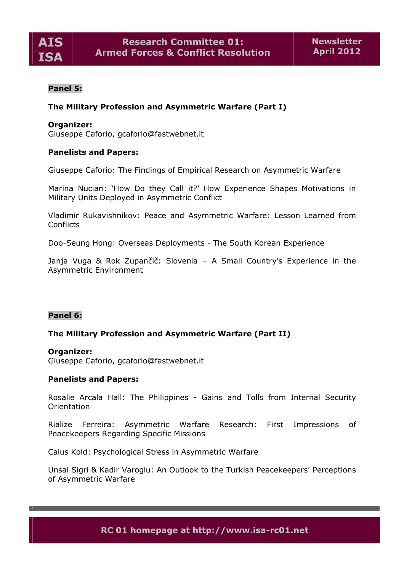

# **Panel 5:**

# **The Military Profession and Asymmetric Warfare (Part I)**

#### **Organizer:**

Giuseppe Caforio, gcaforio@fastwebnet.it

### **Panelists and Papers:**

Giuseppe Caforio: The Findings of Empirical Research on Asymmetric Warfare

Marina Nuciari: 'How Do they Call it?' How Experience Shapes Motivations in Military Units Deployed in Asymmetric Conflict

Vladimir Rukavishnikov: Peace and Asymmetric Warfare: Lesson Learned from **Conflicts** 

Doo-Seung Hong: Overseas Deployments - The South Korean Experience

Janja Vuga & Rok Zupančič: Slovenia – A Small Country's Experience in the Asymmetric Environment

#### **Panel 6:**

### **The Military Profession and Asymmetric Warfare (Part II)**

#### **Organizer:**

Giuseppe Caforio, gcaforio@fastwebnet.it

#### **Panelists and Papers:**

Rosalie Arcala Hall: The Philippines - Gains and Tolls from Internal Security Orientation

Rialize Ferreira: Asymmetric Warfare Research: First Impressions of Peacekeepers Regarding Specific Missions

Calus Kold: Psychological Stress in Asymmetric Warfare

Unsal Sigri & Kadir Varoglu: An Outlook to the Turkish Peacekeepers' Perceptions of Asymmetric Warfare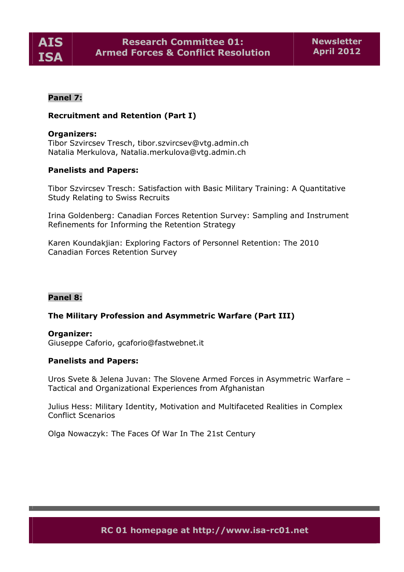

# **Panel 7:**

# **Recruitment and Retention (Part I)**

#### **Organizers:**

Tibor Szvircsev Tresch, tibor.szvircsev@vtg.admin.ch Natalia Merkulova, Natalia.merkulova@vtg.admin.ch

### **Panelists and Papers:**

Tibor Szvircsev Tresch: Satisfaction with Basic Military Training: A Quantitative Study Relating to Swiss Recruits

Irina Goldenberg: Canadian Forces Retention Survey: Sampling and Instrument Refinements for Informing the Retention Strategy

Karen Koundakjian: Exploring Factors of Personnel Retention: The 2010 Canadian Forces Retention Survey

### **Panel 8:**

### **The Military Profession and Asymmetric Warfare (Part III)**

#### **Organizer:**

Giuseppe Caforio, gcaforio@fastwebnet.it

#### **Panelists and Papers:**

Uros Svete & Jelena Juvan: The Slovene Armed Forces in Asymmetric Warfare – Tactical and Organizational Experiences from Afghanistan

Julius Hess: Military Identity, Motivation and Multifaceted Realities in Complex Conflict Scenarios

Olga Nowaczyk: The Faces Of War In The 21st Century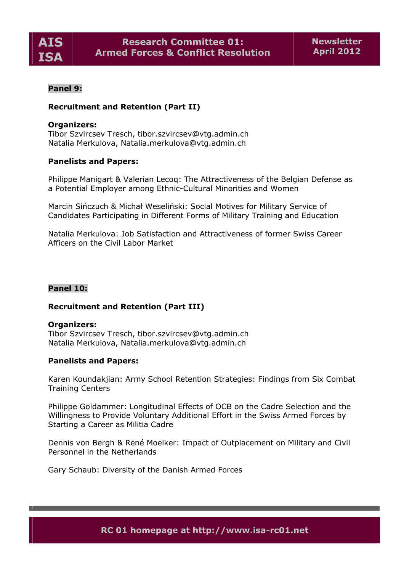

# **Panel 9:**

# **Recruitment and Retention (Part II)**

### **Organizers:**

Tibor Szvircsev Tresch, tibor.szvircsev@vtg.admin.ch Natalia Merkulova, Natalia.merkulova@vtg.admin.ch

### **Panelists and Papers:**

Philippe Manigart & Valerian Lecoq: The Attractiveness of the Belgian Defense as a Potential Employer among Ethnic-Cultural Minorities and Women

Marcin Sińczuch & Michał Weseliński: Social Motives for Military Service of Candidates Participating in Different Forms of Military Training and Education

Natalia Merkulova: Job Satisfaction and Attractiveness of former Swiss Career Afficers on the Civil Labor Market

#### **Panel 10:**

#### **Recruitment and Retention (Part III)**

#### **Organizers:**

Tibor Szvircsev Tresch, tibor.szvircsev@vtg.admin.ch Natalia Merkulova, Natalia.merkulova@vtg.admin.ch

#### **Panelists and Papers:**

Karen Koundakjian: Army School Retention Strategies: Findings from Six Combat Training Centers

Philippe Goldammer: Longitudinal Effects of OCB on the Cadre Selection and the Willingness to Provide Voluntary Additional Effort in the Swiss Armed Forces by Starting a Career as Militia Cadre

Dennis von Bergh & René Moelker: Impact of Outplacement on Military and Civil Personnel in the Netherlands

Gary Schaub: Diversity of the Danish Armed Forces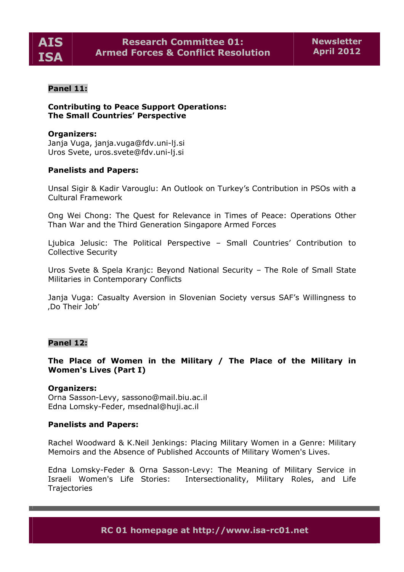

## **Panel 11:**

**Contributing to Peace Support Operations: The Small Countries' Perspective**

#### **Organizers:**

Janja Vuga, janja.vuga@fdv.uni-lj.si Uros Svete, uros.svete@fdv.uni-lj.si

#### **Panelists and Papers:**

Unsal Sigir & Kadir Varouglu: An Outlook on Turkey's Contribution in PSOs with a Cultural Framework

Ong Wei Chong: The Quest for Relevance in Times of Peace: Operations Other Than War and the Third Generation Singapore Armed Forces

Ljubica Jelusic: The Political Perspective – Small Countries' Contribution to Collective Security

Uros Svete & Spela Kranjc: Beyond National Security – The Role of Small State Militaries in Contemporary Conflicts

Janja Vuga: Casualty Aversion in Slovenian Society versus SAF's Willingness to 'Do Their Job'

### **Panel 12:**

## **The Place of Women in the Military / The Place of the Military in Women's Lives (Part I)**

#### **Organizers:**

Orna Sasson-Levy, sassono@mail.biu.ac.il Edna Lomsky-Feder, msednal@huji.ac.il

#### **Panelists and Papers:**

Rachel Woodward & K.Neil Jenkings: Placing Military Women in a Genre: Military Memoirs and the Absence of Published Accounts of Military Women's Lives.

Edna Lomsky-Feder & Orna Sasson-Levy: The Meaning of Military Service in Israeli Women's Life Stories: Intersectionality, Military Roles, and Life **Trajectories**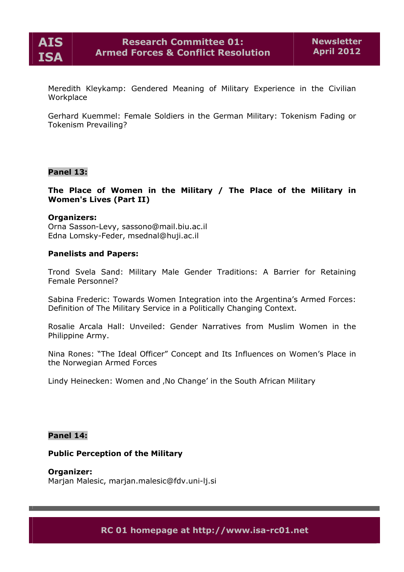

Meredith Kleykamp: Gendered Meaning of Military Experience in the Civilian Workplace

Gerhard Kuemmel: Female Soldiers in the German Military: Tokenism Fading or Tokenism Prevailing?

#### **Panel 13:**

**The Place of Women in the Military / The Place of the Military in Women's Lives (Part II)**

#### **Organizers:**

Orna Sasson-Levy, sassono@mail.biu.ac.il Edna Lomsky-Feder, msednal@huji.ac.il

#### **Panelists and Papers:**

Trond Svela Sand: Military Male Gender Traditions: A Barrier for Retaining Female Personnel?

Sabina Frederic: Towards Women Integration into the Argentina's Armed Forces: Definition of The Military Service in a Politically Changing Context.

Rosalie Arcala Hall: Unveiled: Gender Narratives from Muslim Women in the Philippine Army.

Nina Rones: "The Ideal Officer" Concept and Its Influences on Women's Place in the Norwegian Armed Forces

Lindy Heinecken: Women and , No Change' in the South African Military

#### **Panel 14:**

#### **Public Perception of the Military**

**Organizer:** Marjan Malesic, marjan.malesic@fdv.uni-lj.si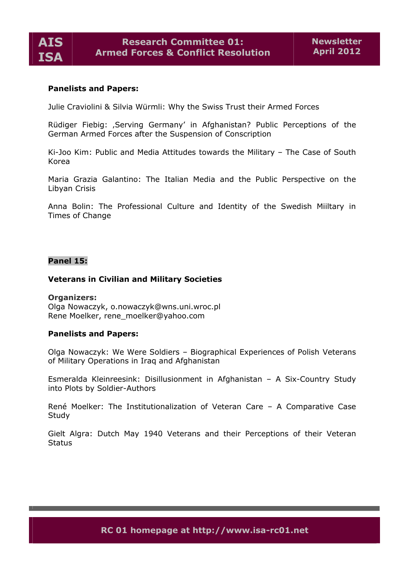

## **Panelists and Papers:**

Julie Craviolini & Silvia Wèrmli: Why the Swiss Trust their Armed Forces

Rüdiger Fiebig: ,Serving Germany' in Afghanistan? Public Perceptions of the German Armed Forces after the Suspension of Conscription

Ki-Joo Kim: Public and Media Attitudes towards the Military – The Case of South Korea

Maria Grazia Galantino: The Italian Media and the Public Perspective on the Libyan Crisis

Anna Bolin: The Professional Culture and Identity of the Swedish Miiltary in Times of Change

### **Panel 15:**

#### **Veterans in Civilian and Military Societies**

#### **Organizers:**

Olga Nowaczyk, o.nowaczyk@wns.uni.wroc.pl Rene Moelker, rene\_moelker@yahoo.com

#### **Panelists and Papers:**

Olga Nowaczyk: We Were Soldiers – Biographical Experiences of Polish Veterans of Military Operations in Iraq and Afghanistan

Esmeralda Kleinreesink: Disillusionment in Afghanistan – A Six-Country Study into Plots by Soldier-Authors

RenÅ Moelker: The Institutionalization of Veteran Care – A Comparative Case **Study** 

Gielt Algra: Dutch May 1940 Veterans and their Perceptions of their Veteran **Status**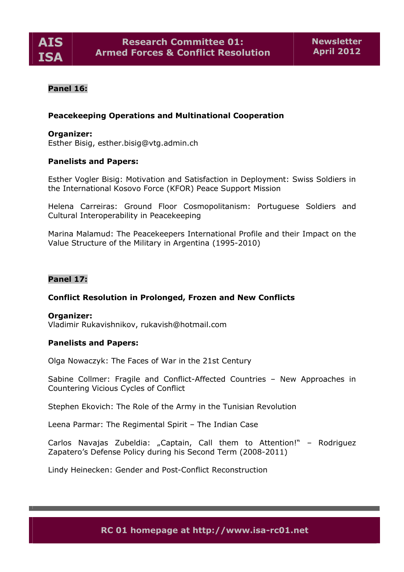

# **Panel 16:**

# **Peacekeeping Operations and Multinational Cooperation**

#### **Organizer:**

Esther Bisig, esther.bisig@vtg.admin.ch

### **Panelists and Papers:**

Esther Vogler Bisig: Motivation and Satisfaction in Deployment: Swiss Soldiers in the International Kosovo Force (KFOR) Peace Support Mission

Helena Carreiras: Ground Floor Cosmopolitanism: Portuguese Soldiers and Cultural Interoperability in Peacekeeping

Marina Malamud: The Peacekeepers International Profile and their Impact on the Value Structure of the Military in Argentina (1995-2010)

## **Panel 17:**

### **Conflict Resolution in Prolonged, Frozen and New Conflicts**

#### **Organizer:**

Vladimir Rukavishnikov, rukavish@hotmail.com

#### **Panelists and Papers:**

Olga Nowaczyk: The Faces of War in the 21st Century

Sabine Collmer: Fragile and Conflict-Affected Countries – New Approaches in Countering Vicious Cycles of Conflict

Stephen Ekovich: The Role of the Army in the Tunisian Revolution

Leena Parmar: The Regimental Spirit – The Indian Case

Carlos Navajas Zubeldia: "Captain, Call them to Attention!" - Rodriguez Zapatero's Defense Policy during his Second Term (2008-2011)

Lindy Heinecken: Gender and Post-Conflict Reconstruction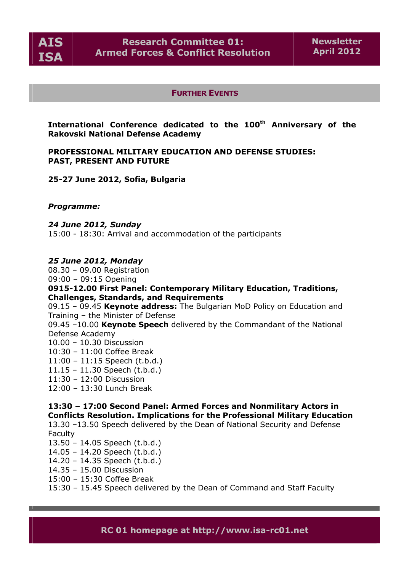

#### **FURTHER EVENTS**

**International Conference dedicated to the 100th Anniversary of the Rakovski National Defense Academy**

**PROFESSIONAL MILITARY EDUCATION AND DEFENSE STUDIES: PAST, PRESENT AND FUTURE** 

**25-27 June 2012, Sofia, Bulgaria** 

*Programme:* 

*24 June 2012, Sunday*  15:00 - 18:30: Arrival and accommodation of the participants

#### *25 June 2012, Monday*

08.30 – 09.00 Registration 09:00 – 09:15 Opening **0915-12.00 First Panel: Contemporary Military Education, Traditions, Challenges, Standards, and Requirements**  09.15 – 09.45 **Keynote address:** The Bulgarian MoD Policy on Education and Training – the Minister of Defense

09.45 –10.00 **Keynote Speech** delivered by the Commandant of the National Defense Academy

10.00 – 10.30 Discussion

10:30 – 11:00 Coffee Break

11:00 – 11:15 Speech (t.b.d.)

11.15 – 11.30 Speech (t.b.d.)

11:30 – 12:00 Discussion

12:00 – 13:30 Lunch Break

**13:30 – 17:00 Second Panel: Armed Forces and Nonmilitary Actors in Conflicts Resolution. Implications for the Professional Military Education** 

13.30 –13.50 Speech delivered by the Dean of National Security and Defense Faculty

13.50 – 14.05 Speech (t.b.d.)

14.05 – 14.20 Speech (t.b.d.)

14.20 – 14.35 Speech (t.b.d.)

14.35 – 15.00 Discussion

15:00 – 15:30 Coffee Break

15:30 – 15.45 Speech delivered by the Dean of Command and Staff Faculty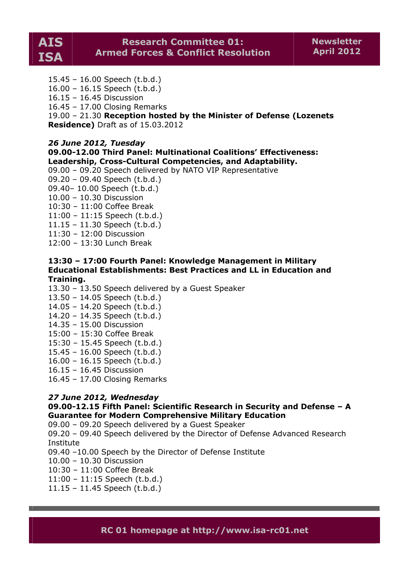15.45 – 16.00 Speech (t.b.d.)

16.00 – 16.15 Speech (t.b.d.)

16.15 – 16.45 Discussion

16.45 – 17.00 Closing Remarks

19.00 – 21.30 **Reception hosted by the Minister of Defense (Lozenets Residence)** Draft as of 15.03.2012

*26 June 2012, Tuesday*

**09.00-12.00 Third Panel: Multinational Coalitions' Effectiveness: Leadership, Cross-Cultural Competencies, and Adaptability.** 

09.00 – 09.20 Speech delivered by NATO VIP Representative

09.20 – 09.40 Speech (t.b.d.)

09.40– 10.00 Speech (t.b.d.)

10.00 – 10.30 Discussion

10:30 – 11:00 Coffee Break

11:00 – 11:15 Speech (t.b.d.)

11.15 – 11.30 Speech (t.b.d.)

11:30 – 12:00 Discussion

12:00 – 13:30 Lunch Break

## **13:30 – 17:00 Fourth Panel: Knowledge Management in Military Educational Establishments: Best Practices and LL in Education and Training.**

13.30 – 13.50 Speech delivered by a Guest Speaker

13.50 – 14.05 Speech (t.b.d.)

14.05 – 14.20 Speech (t.b.d.)

14.20 – 14.35 Speech (t.b.d.)

14.35 – 15.00 Discussion

15:00 – 15:30 Coffee Break

15:30 – 15.45 Speech (t.b.d.)

15.45 – 16.00 Speech (t.b.d.)

16.00 – 16.15 Speech (t.b.d.)

16.15 – 16.45 Discussion

16.45 – 17.00 Closing Remarks

### *27 June 2012, Wednesday*

# **09.00-12.15 Fifth Panel: Scientific Research in Security and Defense – A Guarantee for Modern Comprehensive Military Education**

09.00 – 09.20 Speech delivered by a Guest Speaker

09.20 – 09.40 Speech delivered by the Director of Defense Advanced Research Institute

09.40 –10.00 Speech by the Director of Defense Institute

10.00 – 10.30 Discussion

10:30 – 11:00 Coffee Break

11:00 – 11:15 Speech (t.b.d.)

11.15 – 11.45 Speech (t.b.d.)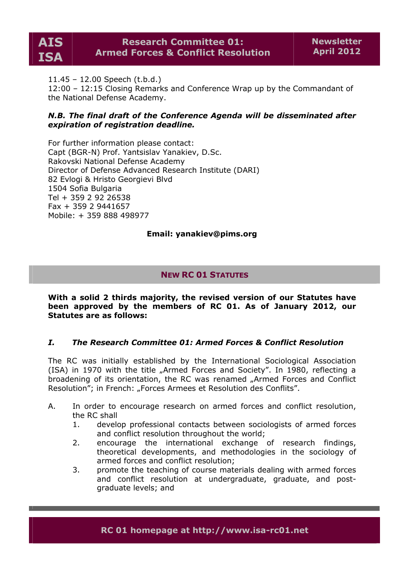

11.45 – 12.00 Speech (t.b.d.)

12:00 – 12:15 Closing Remarks and Conference Wrap up by the Commandant of the National Defense Academy.

# *N.B. The final draft of the Conference Agenda will be disseminated after expiration of registration deadline.*

For further information please contact: Capt (BGR-N) Prof. Yantsislav Yanakiev, D.Sc. Rakovski National Defense Academy Director of Defense Advanced Research Institute (DARI) 82 Evlogi & Hristo Georgievi Blvd 1504 Sofia Bulgaria Tel + 359 2 92 26538 Fax + 359 2 9441657 Mobile: + 359 888 498977

# **Email: yanakiev@pims.org**

# **NEW RC 01 STATUTES**

**With a solid 2 thirds majority, the revised version of our Statutes have been approved by the members of RC 01. As of January 2012, our Statutes are as follows:**

# *I. The Research Committee 01: Armed Forces & Conflict Resolution*

The RC was initially established by the International Sociological Association (ISA) in 1970 with the title "Armed Forces and Society". In 1980, reflecting a broadening of its orientation, the RC was renamed "Armed Forces and Conflict Resolution"; in French: "Forces Armees et Resolution des Conflits".

- A. In order to encourage research on armed forces and conflict resolution, the RC shall
	- 1. develop professional contacts between sociologists of armed forces and conflict resolution throughout the world;
	- 2. encourage the international exchange of research findings, theoretical developments, and methodologies in the sociology of armed forces and conflict resolution;
	- 3. promote the teaching of course materials dealing with armed forces and conflict resolution at undergraduate, graduate, and postgraduate levels; and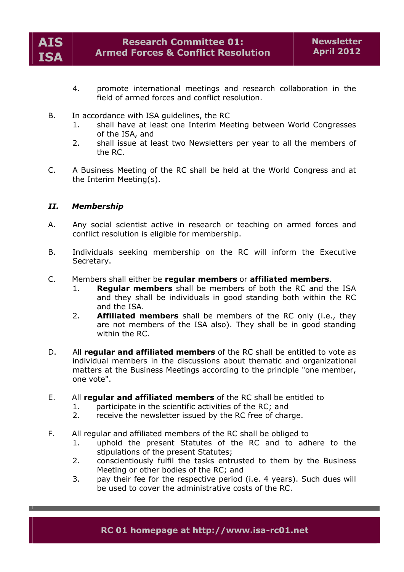

- 4. promote international meetings and research collaboration in the field of armed forces and conflict resolution.
- B. In accordance with ISA guidelines, the RC
	- 1. shall have at least one Interim Meeting between World Congresses of the ISA, and
	- 2. shall issue at least two Newsletters per year to all the members of the RC.
- C. A Business Meeting of the RC shall be held at the World Congress and at the Interim Meeting(s).

# *II. Membership*

- A. Any social scientist active in research or teaching on armed forces and conflict resolution is eligible for membership.
- B. Individuals seeking membership on the RC will inform the Executive Secretary.
- C. Members shall either be **regular members** or **affiliated members**.
	- 1. **Regular members** shall be members of both the RC and the ISA and they shall be individuals in good standing both within the RC and the ISA.
	- 2. **Affiliated members** shall be members of the RC only (i.e., they are not members of the ISA also). They shall be in good standing within the RC.
- D. All **regular and affiliated members** of the RC shall be entitled to vote as individual members in the discussions about thematic and organizational matters at the Business Meetings according to the principle "one member, one vote".
- E. All **regular and affiliated members** of the RC shall be entitled to
	- 1. participate in the scientific activities of the RC; and<br>2. preceive the newsletter issued by the RC free of char
	- receive the newsletter issued by the RC free of charge.
- F. All regular and affiliated members of the RC shall be obliged to
	- 1. uphold the present Statutes of the RC and to adhere to the stipulations of the present Statutes;
	- 2. conscientiously fulfil the tasks entrusted to them by the Business Meeting or other bodies of the RC; and
	- 3. pay their fee for the respective period (i.e. 4 years). Such dues will be used to cover the administrative costs of the RC.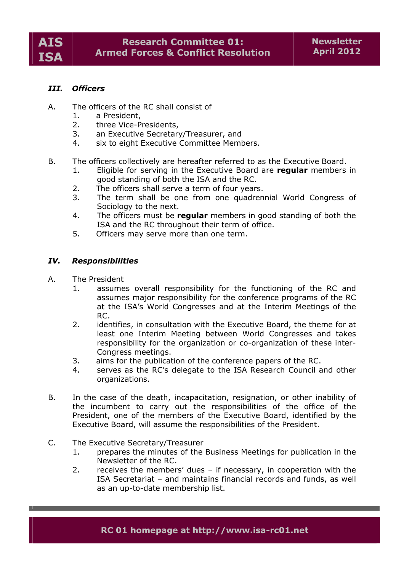# *III. Officers*

- A. The officers of the RC shall consist of
	- 1. a President,
	- 2. three Vice-Presidents,
	- 3. an Executive Secretary/Treasurer, and
	- 4. six to eight Executive Committee Members.
- B. The officers collectively are hereafter referred to as the Executive Board.
	- 1. Eligible for serving in the Executive Board are **regular** members in good standing of both the ISA and the RC.
	- 2. The officers shall serve a term of four years.
	- 3. The term shall be one from one quadrennial World Congress of Sociology to the next.
	- 4. The officers must be **regular** members in good standing of both the ISA and the RC throughout their term of office.
	- 5. Officers may serve more than one term.

### *IV. Responsibilities*

- A. The President
	- 1. assumes overall responsibility for the functioning of the RC and assumes major responsibility for the conference programs of the RC at the ISA's World Congresses and at the Interim Meetings of the RC.
	- 2. identifies, in consultation with the Executive Board, the theme for at least one Interim Meeting between World Congresses and takes responsibility for the organization or co-organization of these inter-Congress meetings.
	- 3. aims for the publication of the conference papers of the RC.
	- 4. serves as the RC's delegate to the ISA Research Council and other organizations.
- B. In the case of the death, incapacitation, resignation, or other inability of the incumbent to carry out the responsibilities of the office of the President, one of the members of the Executive Board, identified by the Executive Board, will assume the responsibilities of the President.
- C. The Executive Secretary/Treasurer
	- 1. prepares the minutes of the Business Meetings for publication in the Newsletter of the RC.
	- 2. receives the members' dues if necessary, in cooperation with the ISA Secretariat – and maintains financial records and funds, as well as an up-to-date membership list.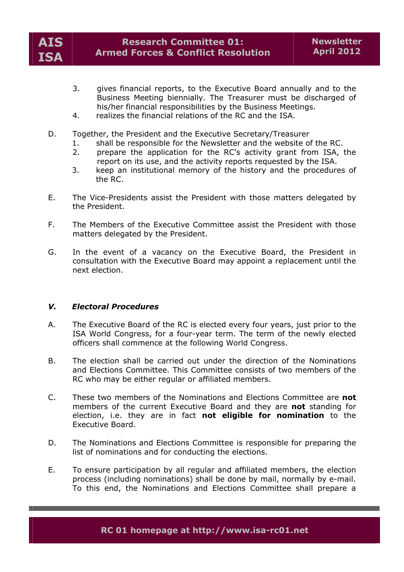

- 3. gives financial reports, to the Executive Board annually and to the Business Meeting biennially. The Treasurer must be discharged of his/her financial responsibilities by the Business Meetings.
- 4. realizes the financial relations of the RC and the ISA.
- D. Together, the President and the Executive Secretary/Treasurer
	- shall be responsible for the Newsletter and the website of the RC.
	- 2. prepare the application for the RC's activity grant from ISA, the report on its use, and the activity reports requested by the ISA.
	- 3. keep an institutional memory of the history and the procedures of the RC.
- E. The Vice-Presidents assist the President with those matters delegated by the President.
- F. The Members of the Executive Committee assist the President with those matters delegated by the President.
- G. In the event of a vacancy on the Executive Board, the President in consultation with the Executive Board may appoint a replacement until the next election.

### *V. Electoral Procedures*

- A. The Executive Board of the RC is elected every four years, just prior to the ISA World Congress, for a four-year term. The term of the newly elected officers shall commence at the following World Congress.
- B. The election shall be carried out under the direction of the Nominations and Elections Committee. This Committee consists of two members of the RC who may be either regular or affiliated members.
- C. These two members of the Nominations and Elections Committee are **not** members of the current Executive Board and they are **not** standing for election, i.e. they are in fact **not eligible for nomination** to the Executive Board.
- D. The Nominations and Elections Committee is responsible for preparing the list of nominations and for conducting the elections.
- E. To ensure participation by all regular and affiliated members, the election process (including nominations) shall be done by mail, normally by e-mail. To this end, the Nominations and Elections Committee shall prepare a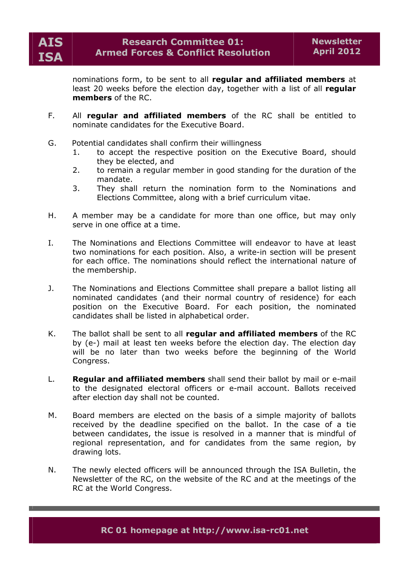

nominations form, to be sent to all **regular and affiliated members** at least 20 weeks before the election day, together with a list of all **regular members** of the RC.

- F. All **regular and affiliated members** of the RC shall be entitled to nominate candidates for the Executive Board.
- G. Potential candidates shall confirm their willingness
	- 1. to accept the respective position on the Executive Board, should they be elected, and
	- 2. to remain a regular member in good standing for the duration of the mandate.
	- 3. They shall return the nomination form to the Nominations and Elections Committee, along with a brief curriculum vitae.
- H. A member may be a candidate for more than one office, but may only serve in one office at a time.
- I. The Nominations and Elections Committee will endeavor to have at least two nominations for each position. Also, a write-in section will be present for each office. The nominations should reflect the international nature of the membership.
- J. The Nominations and Elections Committee shall prepare a ballot listing all nominated candidates (and their normal country of residence) for each position on the Executive Board. For each position, the nominated candidates shall be listed in alphabetical order.
- K. The ballot shall be sent to all **regular and affiliated members** of the RC by (e-) mail at least ten weeks before the election day. The election day will be no later than two weeks before the beginning of the World Congress.
- L. **Regular and affiliated members** shall send their ballot by mail or e-mail to the designated electoral officers or e-mail account. Ballots received after election day shall not be counted.
- M. Board members are elected on the basis of a simple majority of ballots received by the deadline specified on the ballot. In the case of a tie between candidates, the issue is resolved in a manner that is mindful of regional representation, and for candidates from the same region, by drawing lots.
- N. The newly elected officers will be announced through the ISA Bulletin, the Newsletter of the RC, on the website of the RC and at the meetings of the RC at the World Congress.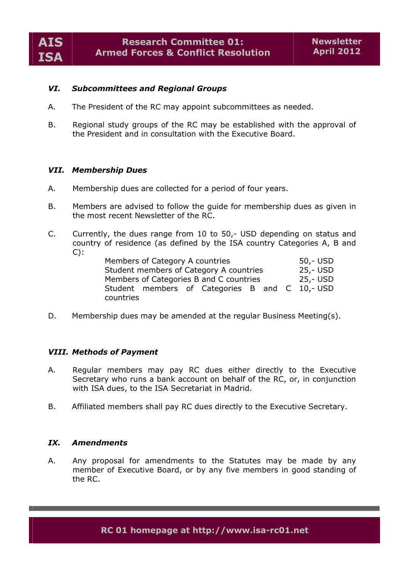# *VI. Subcommittees and Regional Groups*

- A. The President of the RC may appoint subcommittees as needed.
- B. Regional study groups of the RC may be established with the approval of the President and in consultation with the Executive Board.

### *VII. Membership Dues*

- A. Membership dues are collected for a period of four years.
- B. Members are advised to follow the guide for membership dues as given in the most recent Newsletter of the RC.
- C. Currently, the dues range from 10 to 50,- USD depending on status and country of residence (as defined by the ISA country Categories A, B and  $C$ :

| Members of Category A countries                | $50 - USD$ |
|------------------------------------------------|------------|
| Student members of Category A countries        | 25,- USD   |
| Members of Categories B and C countries        | 25,- USD   |
| Student members of Categories B and C 10,- USD |            |
| countries                                      |            |

D. Membership dues may be amended at the regular Business Meeting(s).

### *VIII. Methods of Payment*

- A. Regular members may pay RC dues either directly to the Executive Secretary who runs a bank account on behalf of the RC, or, in conjunction with ISA dues, to the ISA Secretariat in Madrid.
- B. Affiliated members shall pay RC dues directly to the Executive Secretary.

#### *IX. Amendments*

A. Any proposal for amendments to the Statutes may be made by any member of Executive Board, or by any five members in good standing of the RC.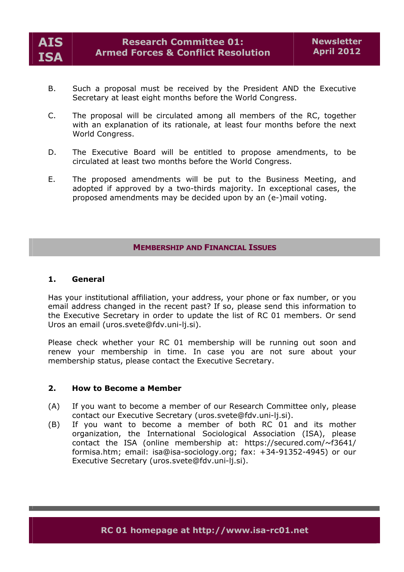

- B. Such a proposal must be received by the President AND the Executive Secretary at least eight months before the World Congress.
- C. The proposal will be circulated among all members of the RC, together with an explanation of its rationale, at least four months before the next World Congress.
- D. The Executive Board will be entitled to propose amendments, to be circulated at least two months before the World Congress.
- E. The proposed amendments will be put to the Business Meeting, and adopted if approved by a two-thirds majority. In exceptional cases, the proposed amendments may be decided upon by an (e-)mail voting.

# **MEMBERSHIP AND FINANCIAL ISSUES**

### **1. General**

Has your institutional affiliation, your address, your phone or fax number, or you email address changed in the recent past? If so, please send this information to the Executive Secretary in order to update the list of RC 01 members. Or send Uros an email (uros.svete@fdv.uni-lj.si).

Please check whether your RC 01 membership will be running out soon and renew your membership in time. In case you are not sure about your membership status, please contact the Executive Secretary.

### **2. How to Become a Member**

- (A) If you want to become a member of our Research Committee only, please contact our Executive Secretary (uros.svete@fdv.uni-lj.si).
- (B) If you want to become a member of both RC 01 and its mother organization, the International Sociological Association (ISA), please contact the ISA (online membership at: https://secured.com/~f3641/ formisa.htm; email: isa@isa-sociology.org; fax: +34-91352-4945) or our Executive Secretary (uros.svete@fdv.uni-lj.si).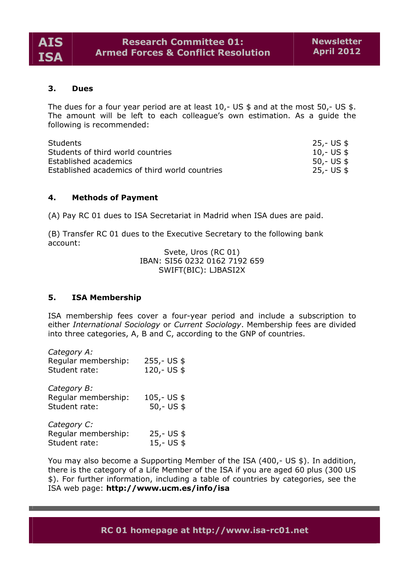

# **3. Dues**

The dues for a four year period are at least  $10$ ,- US \$ and at the most  $50$ ,- US \$. The amount will be left to each colleague's own estimation. As a guide the following is recommended:

| <b>Students</b>                                | 25,- US \$  |
|------------------------------------------------|-------------|
| Students of third world countries              | 10,- US $$$ |
| Established academics                          | 50,- US \$  |
| Established academics of third world countries | 25,- US \$  |

### **4. Methods of Payment**

(A) Pay RC 01 dues to ISA Secretariat in Madrid when ISA dues are paid.

(B) Transfer RC 01 dues to the Executive Secretary to the following bank account:

> Svete, Uros (RC 01) IBAN: SI56 0232 0162 7192 659 SWIFT(BIC): LJBASI2X

### **5. ISA Membership**

ISA membership fees cover a four-year period and include a subscription to either *International Sociology* or *Current Sociology*. Membership fees are divided into three categories, A, B and C, according to the GNP of countries.

| Category A:<br>Regular membership:<br>Student rate: | $255,-US$ \$<br>120,- US \$   |
|-----------------------------------------------------|-------------------------------|
| Category B:<br>Regular membership:<br>Student rate: | $105 - US$ \$<br>$50 - US$ \$ |
| Category C:<br>Regular membership:<br>Student rate: | $25 - US$ \$<br>15,- US \$    |

You may also become a Supporting Member of the ISA (400,- US \$). In addition, there is the category of a Life Member of the ISA if you are aged 60 plus (300 US \$). For further information, including a table of countries by categories, see the ISA web page: **<http://www.ucm.es/info/isa>**